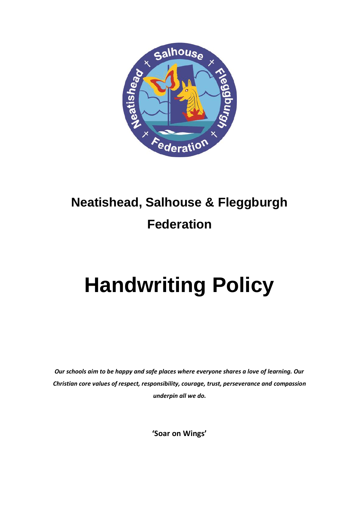

# **Neatishead, Salhouse & Fleggburgh Federation**

# **Handwriting Policy**

*Our schools aim to be happy and safe places where everyone shares a love of learning. Our Christian core values of respect, responsibility, courage, trust, perseverance and compassion underpin all we do.*

**'Soar on Wings'**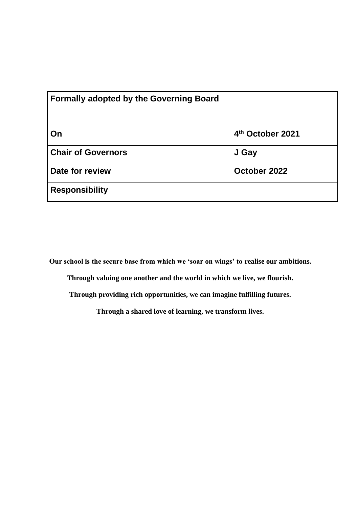| <b>Formally adopted by the Governing Board</b> |                  |
|------------------------------------------------|------------------|
| l On                                           | 4th October 2021 |
| <b>Chair of Governors</b>                      | J Gay            |
| Date for review                                | October 2022     |
| <b>Responsibility</b>                          |                  |

**Our school is the secure base from which we 'soar on wings' to realise our ambitions.**

**Through valuing one another and the world in which we live, we flourish.**

**Through providing rich opportunities, we can imagine fulfilling futures.**

**Through a shared love of learning, we transform lives.**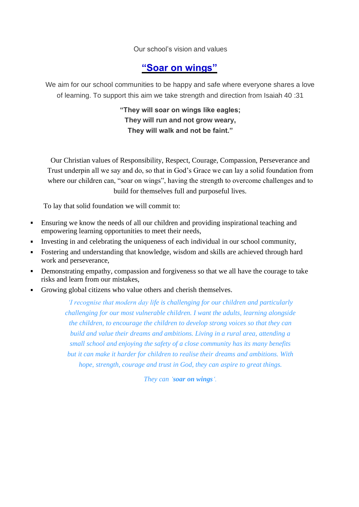Our school's vision and values

## **"Soar on wings"**

We aim for our school communities to be happy and safe where everyone shares a love of learning. To support this aim we take strength and direction from Isaiah 40 :31

> **"They will soar on wings like eagles; They will run and not grow weary, They will walk and not be faint."**

Our Christian values of Responsibility, Respect, Courage, Compassion, Perseverance and Trust underpin all we say and do, so that in God's Grace we can lay a solid foundation from where our children can, "soar on wings", having the strength to overcome challenges and to build for themselves full and purposeful lives.

To lay that solid foundation we will commit to:

- Ensuring we know the needs of all our children and providing inspirational teaching and empowering learning opportunities to meet their needs,
- Investing in and celebrating the uniqueness of each individual in our school community,
- Fostering and understanding that knowledge, wisdom and skills are achieved through hard work and perseverance,
- Demonstrating empathy, compassion and forgiveness so that we all have the courage to take risks and learn from our mistakes,
- Growing global citizens who value others and cherish themselves.

*'I recognise that modern day life is challenging for our children and particularly challenging for our most vulnerable children. I want the adults, learning alongside the children, to encourage the children to develop strong voices so that they can build and value their dreams and ambitions. Living in a rural area, attending a small school and enjoying the safety of a close community has its many benefits but it can make it harder for children to realise their dreams and ambitions. With hope, strength, courage and trust in God, they can aspire to great things.* 

*They can 'soar on wings'.*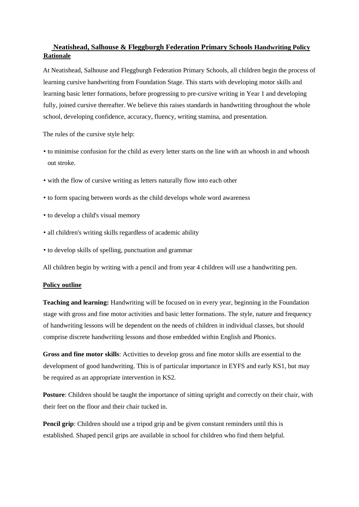### **Neatishead, Salhouse & Fleggburgh Federation Primary Schools Handwriting Policy Rationale**

At Neatishead, Salhouse and Fleggburgh Federation Primary Schools, all children begin the process of learning cursive handwriting from Foundation Stage. This starts with developing motor skills and learning basic letter formations, before progressing to pre-cursive writing in Year 1 and developing fully, joined cursive thereafter. We believe this raises standards in handwriting throughout the whole school, developing confidence, accuracy, fluency, writing stamina, and presentation.

The rules of the cursive style help:

- to minimise confusion for the child as every letter starts on the line with an whoosh in and whoosh out stroke.
- with the flow of cursive writing as letters naturally flow into each other
- to form spacing between words as the child develops whole word awareness
- to develop a child's visual memory
- all children's writing skills regardless of academic ability
- to develop skills of spelling, punctuation and grammar

All children begin by writing with a pencil and from year 4 children will use a handwriting pen.

#### **Policy outline**

**Teaching and learning:** Handwriting will be focused on in every year, beginning in the Foundation stage with gross and fine motor activities and basic letter formations. The style, nature and frequency of handwriting lessons will be dependent on the needs of children in individual classes, but should comprise discrete handwriting lessons and those embedded within English and Phonics.

**Gross and fine motor skills**: Activities to develop gross and fine motor skills are essential to the development of good handwriting. This is of particular importance in EYFS and early KS1, but may be required as an appropriate intervention in KS2.

**Posture**: Children should be taught the importance of sitting upright and correctly on their chair, with their feet on the floor and their chair tucked in.

**Pencil grip**: Children should use a tripod grip and be given constant reminders until this is established. Shaped pencil grips are available in school for children who find them helpful.